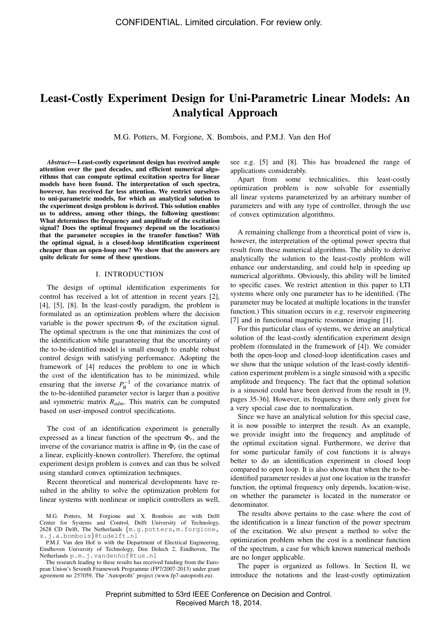# Least-Costly Experiment Design for Uni-Parametric Linear Models: An Analytical Approach

M.G. Potters, M. Forgione, X. Bombois, and P.M.J. Van den Hof

*Abstract*— Least-costly experiment design has received ample attention over the past decades, and efficient numerical algorithms that can compute optimal excitation spectra for linear models have been found. The interpretation of such spectra, however, has received far less attention. We restrict ourselves to uni-parametric models, for which an analytical solution to the experiment design problem is derived. This solution enables us to address, among other things, the following questions: What determines the frequency and amplitude of the excitation signal? Does the optimal frequency depend on the location(s) that the parameter occupies in the transfer function? With the optimal signal, is a closed-loop identification experiment cheaper than an open-loop one? We show that the answers are quite delicate for some of these questions.

#### I. INTRODUCTION

The design of optimal identification experiments for control has received a lot of attention in recent years [2], [4], [5], [8]. In the least-costly paradigm, the problem is formulated as an optimization problem where the decision variable is the power spectrum  $\Phi_r$  of the excitation signal. The optimal spectrum is the one that minimizes the cost of the identification while guaranteeing that the uncertainty of the to-be-identified model is small enough to enable robust control design with satisfying performance. Adopting the framework of [4] reduces the problem to one in which the cost of the identification has to be minimized, while ensuring that the inverse  $P_{\theta}^{-1}$  of the covariance matrix of the to-be-identified parameter vector is larger than a positive and symmetric matrix *Radm*. This matrix can be computed based on user-imposed control specifications.

The cost of an identification experiment is generally expressed as a linear function of the spectrum  $\Phi_r$ , and the inverse of the covariance matrix is affine in  $\Phi_r$  (in the case of a linear, explicitly-known controller). Therefore, the optimal experiment design problem is convex and can thus be solved using standard convex optimization techniques.

Recent theoretical and numerical developments have resulted in the ability to solve the optimization problem for linear systems with nonlinear or implicit controllers as well,

see e.g. [5] and [8]. This has broadened the range of applications considerably.

Apart from some technicalities, this least-costly optimization problem is now solvable for essentially all linear systems parameterized by an arbitrary number of parameters and with any type of controller, through the use of convex optimization algorithms.

A remaining challenge from a theoretical point of view is, however, the interpretation of the optimal power spectra that result from these numerical algorithms. The ability to derive analytically the solution to the least-costly problem will enhance our understanding, and could help in speeding up numerical algorithms. Obviously, this ability will be limited to specific cases. We restrict attention in this paper to LTI systems where only one parameter has to be identified. (The parameter may be located at multiple locations in the transfer function.) This situation occurs in e.g. reservoir engineering [7] and in functional magnetic resonance imaging [1].

For this particular class of systems, we derive an analytical solution of the least-costly identification experiment design problem (formulated in the framework of [4]). We consider both the open-loop and closed-loop identification cases and we show that the unique solution of the least-costly identification experiment problem is a single sinusoid with a specific amplitude and frequency. The fact that the optimal solution is a sinusoid could have been derived from the result in [9, pages 35-36]. However, its frequency is there only given for a very special case due to normalization.

Since we have an analytical solution for this special case, it is now possible to interpret the result. As an example, we provide insight into the frequency and amplitude of the optimal excitation signal. Furthermore, we derive that for some particular family of cost functions it is always better to do an identification experiment in closed loop compared to open loop. It is also shown that when the to-beidentified parameter resides at just one location in the transfer function, the optimal frequency only depends, location-wise, on whether the parameter is located in the numerator or denominator.

The results above pertains to the case where the cost of the identification is a linear function of the power spectrum of the excitation. We also present a method to solve the optimization problem when the cost is a nonlinear function of the spectrum, a case for which known numerical methods are no longer applicable.

The paper is organized as follows. In Section II, we introduce the notations and the least-costly optimization

M.G. Potters, M. Forgione and X. Bombois are with Delft Center for Systems and Control, Delft University of Technology, 2628 CD Delft, The Netherlands {m.g.potters,m.forgione, x.j.a.bombois}@tudelft.nl

P.M.J. Van den Hof is with the Department of Electrical Engineering, Eindhoven University of Technology, Den Dolech 2, Eindhoven, The Netherlands p.m.j.vandenhof@tue.nl

The research leading to these results has received funding from the European Union's Seventh Framework Programme (FP7/2007-2013) under grant agreement no 257059, The 'Autoprofit' project (www.fp7-autoprofit.eu).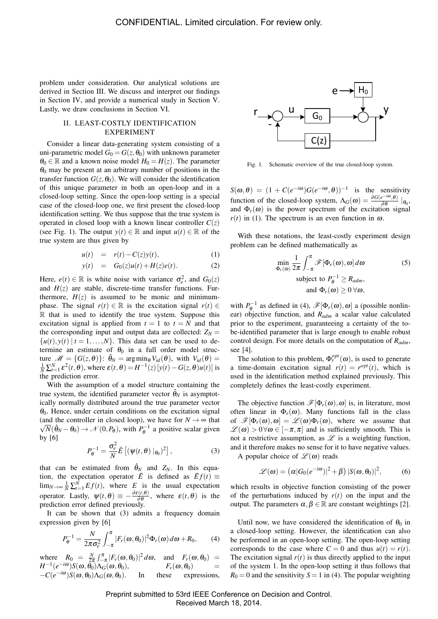problem under consideration. Our analytical solutions are derived in Section III. We discuss and interpret our findings in Section IV, and provide a numerical study in Section V. Lastly, we draw conclusions in Section VI.

# II. LEAST-COSTLY IDENTIFICATION EXPERIMENT

Consider a linear data-generating system consisting of a uni-parametric model  $G_0 = G(z, \theta_0)$  with unknown parameter  $\theta_0 \in \mathbb{R}$  and a known noise model  $H_0 = H(z)$ . The parameter  $\theta_0$  may be present at an arbitrary number of positions in the transfer function  $G(z, \theta_0)$ . We will consider the identification of this unique parameter in both an open-loop and in a closed-loop setting. Since the open-loop setting is a special case of the closed-loop one, we first present the closed-loop identification setting. We thus suppose that the true system is operated in closed loop with a known linear controller  $C(z)$ (see Fig. 1). The output  $y(t) \in \mathbb{R}$  and input  $u(t) \in \mathbb{R}$  of the true system are thus given by

$$
u(t) = r(t) - C(z)y(t), \qquad (1)
$$

$$
y(t) = G_0(z)u(t) + H(z)e(t).
$$
 (2)

Here,  $e(t) \in \mathbb{R}$  is white noise with variance  $\sigma_e^2$ , and  $G_0(z)$ and  $H(z)$  are stable, discrete-time transfer functions. Furthermore,  $H(z)$  is assumed to be monic and minimumphase. The signal  $r(t) \in \mathbb{R}$  is the excitation signal  $r(t) \in$  $\mathbb R$  that is used to identify the true system. Suppose this excitation signal is applied from  $t = 1$  to  $t = N$  and that the corresponding input and output data are collected:  $Z_N =$  $\{u(t), y(t) | t = 1, \ldots, N\}$ . This data set can be used to determine an estimate of  $\theta_0$  in a full order model structure  $\mathcal{M} = \{G(z, \theta)\}\colon \hat{\theta}_N = \arg \min_{\theta} V_{id}(\theta)$ , with  $V_{id}(\theta) = \frac{1}{N} \sum_{t=1}^N \varepsilon^2(t, \theta)$ , where  $\varepsilon(t, \theta) = H^{-1}(z)[y(t) - G(z, \theta)u(t)]$  is the prediction error.

With the assumption of a model structure containing the true system, the identified parameter vector  $\hat{\theta}_N$  is asymptotically normally distributed around the true parameter vector  $\theta_0$ . Hence, under certain conditions on the excitation signal (and the controller in closed loop), we have for  $N \to \infty$  that  $\overline{N}(\hat{\theta}_N - \theta_0) \rightarrow \mathcal{N}(0, P_\theta)$ , with  $P_\theta^{-1}$  a positive scalar given by [6]

$$
P_{\theta}^{-1} = \frac{\sigma_e^2}{N} \bar{E} \left[ (\psi(t,\theta) |_{\theta_0})^2 \right],
$$
 (3)

that can be estimated from  $\hat{\theta}_N$  and  $Z_N$ . In this equation, the expectation operator  $\overline{E}$  is defined as  $\overline{E} f(t) \equiv$ lim<sub>*N*→∞</sub>  $\frac{1}{N} \sum_{t=1}^{N} Ef(t)$ , where *E* is the usual expectation operator. Lastly,  $\psi(t, \theta) \equiv -\frac{\partial \varepsilon(t, \theta)}{\partial \theta}$ , where  $\varepsilon(t, \theta)$  is the prediction error defined previously.

It can be shown that (3) admits a frequency domain expression given by [6]

$$
P_{\theta}^{-1} = \frac{N}{2\pi\sigma_e^2} \int_{-\pi}^{\pi} |F_r(\omega,\theta_0)|^2 \Phi_r(\omega) d\omega + R_0, \qquad (4)
$$

where  $R_0 = \frac{N}{2\pi} \int_{-\pi}^{\pi} |F_v(\omega, \theta_0)|^2 d\omega$ , and  $F_r(\omega, \theta_0) =$  $H^{-1}(e^{-i\omega})S(\omega,\tilde{\theta_0})\Lambda_G(\omega,\theta_0),$   $F_v(\omega,\theta_0)$  =  $-C(e^{-i\omega})S(\omega,\theta_0)\Lambda_G(\omega,\theta_0)$ . In these expressions,



Fig. 1. Schematic overview of the true closed-loop system.

 $S(\omega,\theta) = (1 + C(e^{-i\omega})G(e^{-i\omega},\theta))^{-1}$  is the sensitivity function of the closed-loop system,  $\Lambda_G(\omega) = \frac{\partial G(e^{-i\omega}, \theta)}{\partial \theta} |_{\theta_0}$ , and  $\Phi_r(\omega)$  is the power spectrum of the excitation signal  $r(t)$  in (1). The spectrum is an even function in  $\omega$ .

With these notations, the least-costly experiment design problem can be defined mathematically as

$$
\min_{\Phi_r(\omega)} \frac{1}{2\pi} \int_{-\pi}^{\pi} \mathscr{F}[\Phi_r(\omega), \omega] d\omega \tag{5}
$$
  
subject to  $P_{\theta}^{-1} \ge R_{adm}$ ,  
and  $\Phi_r(\omega) \ge 0 \,\forall \omega$ ,

with  $P_{\theta}^{-1}$  as defined in (4),  $\mathscr{F}[\Phi_r(\omega), \omega]$  a (possible nonlinear) objective function, and *Radm* a scalar value calculated prior to the experiment, guaranteeing a certainty of the tobe-identified parameter that is large enough to enable robust control design. For more details on the computation of *Radm*, see [4].

The solution to this problem,  $\Phi_r^{opt}(\omega)$ , is used to generate a time-domain excitation signal  $r(t) = r^{opt}(t)$ , which is used in the identification method explained previously. This completely defines the least-costly experiment.

The objective function  $\mathscr{F}[\Phi_r(\omega),\omega]$  is, in literature, most often linear in  $\Phi_r(\omega)$ . Many functions fall in the class of  $\mathscr{F}[\Phi_r(\omega),\omega] = \mathscr{L}(\omega)\Phi_r(\omega)$ , where we assume that  $\mathscr{L}(\omega) > 0 \forall \omega \in [-\pi, \pi]$  and is sufficiently smooth. This is not a restrictive assumption, as  $\mathscr L$  is a weighting function, and it therefore makes no sense for it to have negative values.

A popular choice of  $\mathscr{L}(\omega)$  reads

$$
\mathscr{L}(\boldsymbol{\omega}) = (\boldsymbol{\alpha}|G_0(e^{-i\boldsymbol{\omega}})|^2 + \boldsymbol{\beta}) |S(\boldsymbol{\omega}, \boldsymbol{\theta}_0)|^2, \tag{6}
$$

which results in objective function consisting of the power of the perturbations induced by  $r(t)$  on the input and the output. The parameters  $\alpha, \beta \in \mathbb{R}$  are constant weightings [2].

Until now, we have considered the identification of  $\theta_0$  in a closed-loop setting. However, the identification can also be performed in an open-loop setting. The open-loop setting corresponds to the case where  $C = 0$  and thus  $u(t) = r(t)$ . The excitation signal  $r(t)$  is thus directly applied to the input of the system 1. In the open-loop setting it thus follows that  $R_0 = 0$  and the sensitivity  $S = 1$  in (4). The popular weighting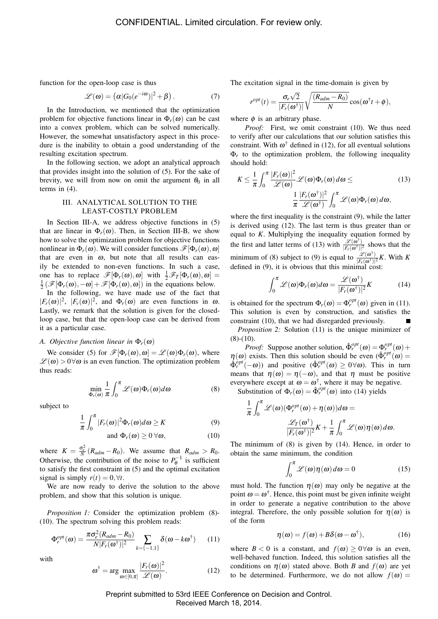function for the open-loop case is thus

$$
\mathscr{L}(\boldsymbol{\omega}) = (\boldsymbol{\alpha}|G_0(e^{-i\boldsymbol{\omega}})|^2 + \boldsymbol{\beta}). \tag{7}
$$

In the Introduction, we mentioned that the optimization problem for objective functions linear in  $\Phi_r(\omega)$  can be cast into a convex problem, which can be solved numerically. However, the somewhat unsatisfactory aspect in this procedure is the inability to obtain a good understanding of the resulting excitation spectrum.

In the following section, we adopt an analytical approach that provides insight into the solution of (5). For the sake of brevity, we will from now on omit the argument  $\theta_0$  in all terms in (4).

# III. ANALYTICAL SOLUTION TO THE LEAST-COSTLY PROBLEM

In Section III-A, we address objective functions in (5) that are linear in  $\Phi_r(\omega)$ . Then, in Section III-B, we show how to solve the optimization problem for objective functions nonlinear in  $\Phi_r(\omega)$ . We will consider functions  $\mathscr{F}[\Phi_r(\omega),\omega]$ that are even in  $\omega$ , but note that all results can easily be extended to non-even functions. In such a case, one has to replace  $\mathscr{F}[\Phi_r(\omega), \omega]$  with  $\frac{1}{2}\mathscr{F}_T[\Phi_r(\omega), \omega] =$  $\frac{1}{2}$  ( $\mathscr{F}[\Phi_r(\omega), -\omega] + \mathscr{F}[\Phi_r(\omega), \omega]$ ) in the equations below.

In the following, we have made use of the fact that  $|F_r(\omega)|^2$ ,  $|F_\nu(\omega)|^2$ , and  $\Phi_r(\omega)$  are even functions in  $\omega$ . Lastly, we remark that the solution is given for the closedloop case, but that the open-loop case can be derived from it as a particular case.

## *A. Objective function linear in*  $\Phi_r(\omega)$

We consider (5) for  $\mathscr{F}[\Phi_r(\omega), \omega] = \mathscr{L}(\omega)\Phi_r(\omega)$ , where  $\mathscr{L}(\omega) > 0 \forall \omega$  is an even function. The optimization problem thus reads:

$$
\min_{\Phi_r(\omega)} \frac{1}{\pi} \int_0^{\pi} \mathcal{L}(\omega) \Phi_r(\omega) d\omega \tag{8}
$$

subject to

$$
\frac{1}{\pi} \int_0^{\pi} |F_r(\omega)|^2 \Phi_r(\omega) d\omega \ge K \tag{9}
$$

and 
$$
\Phi_r(\omega) \ge 0 \,\forall \omega,
$$
 (10)

where  $K = \frac{\sigma_e^2}{N} (R_{adm} - R_0)$ . We assume that  $R_{adm} > R_0$ . Otherwise, the contribution of the noise to  $P_{\theta}^{-1}$  is sufficient to satisfy the first constraint in (5) and the optimal excitation signal is simply  $r(t) = 0, \forall t$ .

We are now ready to derive the solution to the above problem, and show that this solution is unique.

*Proposition 1:* Consider the optimization problem (8)- (10). The spectrum solving this problem reads:

$$
\Phi_r^{opt}(\omega) = \frac{\pi \sigma_e^2 (R_{adm} - R_0)}{N |F_r(\omega^{\dagger})|^2} \sum_{k = \{-1, 1\}} \delta(\omega - k \omega^{\dagger}) \qquad (11)
$$

with

$$
\boldsymbol{\omega}^{\dagger} = \arg \max_{\boldsymbol{\omega} \in [0,\pi]} \frac{|F_r(\boldsymbol{\omega})|^2}{\mathscr{L}(\boldsymbol{\omega})}.
$$
 (12)

The excitation signal in the time-domain is given by

$$
r^{opt}(t) = \frac{\sigma_e \sqrt{2}}{|F_r(\omega^{\dagger})|} \sqrt{\frac{(R_{adm} - R_0)}{N}} \cos(\omega^{\dagger} t + \phi),
$$

where  $\phi$  is an arbitrary phase.

*Proof:* First, we omit constraint (10). We thus need to verify after our calculations that our solution satisfies this constraint. With  $\omega^{\dagger}$  defined in (12), for all eventual solutions Φ*r* to the optimization problem, the following inequality should hold:

$$
K \leq \frac{1}{\pi} \int_0^{\pi} \frac{|F_r(\omega)|^2}{\mathcal{L}(\omega)} \mathcal{L}(\omega) \Phi_r(\omega) d\omega \leq \frac{1}{\pi} \frac{|F_r(\omega^{\dagger})|^2}{\mathcal{L}(\omega^{\dagger})} \int_0^{\pi} \mathcal{L}(\omega) \Phi_r(\omega) d\omega,
$$
 (13)

where the first inequality is the constraint (9), while the latter is derived using (12). The last term is thus greater than or equal to *K*. Multiplying the inequality equation formed by the first and latter terms of (13) with  $\frac{\mathscr{L}(\omega^{\dagger})}{E(\omega^{\dagger})}$  $\frac{\mathcal{L}(\omega)}{|F_r(\omega^{\dagger})|^2}$  shows that the minimum of (8) subject to (9) is equal to  $\frac{\mathscr{L}(\omega^{\dagger})}{E(\omega^{\dagger})}$  $\frac{\mathscr{L}(\omega)}{|F_r(\omega^{\dagger})|^2}K$ . With *K* defined in (9), it is obvious that this minimal cost:

$$
\int_0^{\pi} \mathcal{L}(\omega) \Phi_r(\omega) d\omega = \frac{\mathcal{L}(\omega^{\dagger})}{|F_r(\omega^{\dagger})|^2} K \tag{14}
$$

is obtained for the spectrum  $\Phi_r(\omega) = \Phi_r^{opt}(\omega)$  given in (11). This solution is even by construction, and satisfies the constraint (10), that we had disregarded previously.

*Proposition 2:* Solution (11) is the unique minimizer of  $(8)-(10)$ .

*Proof:* Suppose another solution,  $\hat{\Phi}_r^{opt}(\omega) = \Phi_r^{opt}(\omega) + \hat{\Phi}_r^{opt}(\omega)$  $\eta(\omega)$  exists. Then this solution should be even  $(\hat{\Phi}_r^{\text{opt}}(\omega))$  $\hat{\Phi}_r^{\rho p r}(-\omega)$  and positive  $(\hat{\Phi}_r^{\rho p r}(\omega) \geq 0 \forall \omega)$ . This in turn means that  $\eta(\omega) = \eta(-\omega)$ , and that  $\eta$  must be positive everywhere except at  $\omega = \omega^{\dagger}$ , where it may be negative.

Substitution of  $\Phi_r(\omega) = \hat{\Phi}_r^{opt}(\omega)$  into (14) yields

1

$$
\frac{1}{\pi} \int_0^{\pi} \mathcal{L}(\omega) (\Phi_r^{opt}(\omega) + \eta(\omega)) d\omega =
$$

$$
\frac{\mathcal{L}_T(\omega^{\dagger})}{|F_r(\omega^{\dagger})|^2} K + \frac{1}{\pi} \int_0^{\pi} \mathcal{L}(\omega) \eta(\omega) d\omega.
$$

The minimum of (8) is given by (14). Hence, in order to obtain the same minimum, the condition

$$
\int_0^{\pi} \mathcal{L}(\omega)\eta(\omega)d\omega = 0 \tag{15}
$$

must hold. The function  $\eta(\omega)$  may only be negative at the point  $\omega = \omega^{\dagger}$ . Hence, this point must be given infinite weight in order to generate a negative contribution to the above integral. Therefore, the only possible solution for  $\eta(\omega)$  is of the form

$$
\eta(\omega) = f(\omega) + B\delta(\omega - \omega^{\dagger}), \qquad (16)
$$

where  $B < 0$  is a constant, and  $f(\omega) \ge 0 \forall \omega$  is an even, well-behaved function. Indeed, this solution satisfies all the conditions on  $\eta(\omega)$  stated above. Both *B* and  $f(\omega)$  are yet to be determined. Furthermore, we do not allow  $f(\omega) =$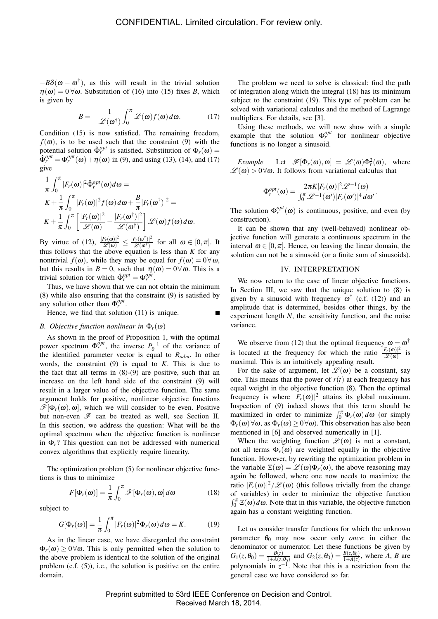$-B\delta(\omega - \omega^{\dagger})$ , as this will result in the trivial solution  $\eta(\omega) = 0 \,\forall \omega$ . Substitution of (16) into (15) fixes *B*, which is given by

$$
B = -\frac{1}{\mathscr{L}(\boldsymbol{\omega}^{\dagger})} \int_0^{\pi} \mathscr{L}(\boldsymbol{\omega}) f(\boldsymbol{\omega}) d\boldsymbol{\omega}.
$$
 (17)

Condition (15) is now satisfied. The remaining freedom,  $f(\omega)$ , is to be used such that the constraint (9) with the potential solution  $\hat{\Phi}_r^{opt}$  is satisfied. Substitution of  $\Phi_r(\omega)$  =  $\hat{\Phi}_r^{opt} = \Phi_r^{opt}(\omega) + \eta(\omega)$  in (9), and using (13), (14), and (17) give

$$
\frac{1}{\pi} \int_0^{\pi} |F_r(\omega)|^2 \hat{\Phi}_r^{\text{opt}}(\omega) d\omega =
$$
\n
$$
K + \frac{1}{\pi} \int_0^{\pi} |F_r(\omega)|^2 f(\omega) d\omega + \frac{B}{\pi} |F_r(\omega^{\dagger})|^2 =
$$
\n
$$
K + \frac{1}{\pi} \int_0^{\pi} \left[ \frac{|F_r(\omega)|^2}{\mathscr{L}(\omega)} - \frac{|F_r(\omega^{\dagger})|^2}{\mathscr{L}(\omega^{\dagger})} \right] \mathscr{L}(\omega) f(\omega) d\omega.
$$

By virtue of (12),  $\frac{|F_r(\omega)|^2}{\mathscr{L}(\omega)} \leq \frac{|F_r(\omega^{\dagger})|^2}{\mathscr{L}(\omega^{\dagger})}$  $\frac{\mathcal{L}_{r}(\omega^{(n)})}{\mathcal{L}(\omega^{(n)})}$  for all  $\omega \in [0, \pi]$ . It thus follows that the above equation is less than  $K$  for any nontrivial  $f(\omega)$ , while they may be equal for  $f(\omega) = 0 \forall \omega$ , but this results in *B* = 0, such that  $\eta(\omega) = 0 \forall \omega$ . This is a trivial solution for which  $\hat{\Phi}_r^{opt} = \Phi_r^{opt}$ .

Thus, we have shown that we can not obtain the minimum (8) while also ensuring that the constraint (9) is satisfied by any solution other than  $\Phi_r^{opt}$ .

Hence, we find that solution (11) is unique.

### *B. Objective function nonlinear in*  $\Phi_r(\omega)$

As shown in the proof of Proposition 1, with the optimal power spectrum  $\Phi_r^{\hat{O}pt}$ , the inverse  $P_{\theta}^{-1}$  of the variance of the identified parameter vector is equal to *Radm*. In other words, the constraint  $(9)$  is equal to  $K$ . This is due to the fact that all terms in (8)-(9) are positive, such that an increase on the left hand side of the constraint (9) will result in a larger value of the objective function. The same argument holds for positive, nonlinear objective functions  $\mathscr{F}[\Phi_r(\omega), \omega]$ , which we will consider to be even. Positive but non-even  $\mathscr F$  can be treated as well, see Section II. In this section, we address the question: What will be the optimal spectrum when the objective function is nonlinear in  $\Phi_r$ ? This question can not be addressed with numerical convex algorithms that explicitly require linearity.

The optimization problem (5) for nonlinear objective functions is thus to minimize

$$
F[\Phi_r(\omega)] = \frac{1}{\pi} \int_0^{\pi} \mathscr{F}[\Phi_r(\omega), \omega] d\omega \qquad (18)
$$

subject to

$$
G[\Phi_r(\omega)] = \frac{1}{\pi} \int_0^{\pi} |F_r(\omega)|^2 \Phi_r(\omega) d\omega = K.
$$
 (19)

As in the linear case, we have disregarded the constraint  $\Phi_r(\omega) \geq 0 \forall \omega$ . This is only permitted when the solution to the above problem is identical to the solution of the original problem (c.f. (5)), i.e., the solution is positive on the entire domain.

The problem we need to solve is classical: find the path of integration along which the integral (18) has its minimum subject to the constraint (19). This type of problem can be solved with variational calculus and the method of Lagrange multipliers. For details, see [3].

Using these methods, we will now show with a simple example that the solution  $\Phi_r^{opt}$  for nonlinear objective functions is no longer a sinusoid.

*Example* Let  $\mathscr{F}[\Phi_r(\omega), \omega] = \mathscr{L}(\omega) \Phi_r^2(\omega)$ , where  $\mathscr{L}(\omega) > 0 \forall \omega$ . It follows from variational calculus that

$$
\Phi_r^{opt}(\omega) = \frac{2\pi K |F_r(\omega)|^2 \mathscr{L}^{-1}(\omega)}{\int_0^{\pi} \mathscr{L}^{-1}(\omega') |F_r(\omega')|^4 d\omega'}.
$$

The solution  $\Phi_r^{opt}(\omega)$  is continuous, positive, and even (by construction).

It can be shown that any (well-behaved) nonlinear objective function will generate a continuous spectrum in the interval  $\omega \in [0, \pi]$ . Hence, on leaving the linear domain, the solution can not be a sinusoid (or a finite sum of sinusoids).

#### IV. INTERPRETATION

We now return to the case of linear objective functions. In Section III, we saw that the unique solution to  $(8)$  is given by a sinusoid with frequency  $\omega^{\dagger}$  (c.f. (12)) and an amplitude that is determined, besides other things, by the experiment length *N*, the sensitivity function, and the noise variance.

We observe from (12) that the optimal frequency  $\omega = \omega^{\dagger}$ is located at the frequency for which the ratio  $\frac{|F_r(\omega)|^2}{\mathcal{L}(\omega)}$  $\frac{\mathcal{L}_{r}(\omega)|}{\mathscr{L}(\omega)}$  is maximal. This is an intuitively appealing result.

For the sake of argument, let  $\mathcal{L}(\omega)$  be a constant, say one. This means that the power of  $r(t)$  at each frequency has equal weight in the objective function (8). Then the optimal frequency is where  $|F_r(\omega)|^2$  attains its global maximum. Inspection of (9) indeed shows that this term should be maximized in order to minimize  $\int_0^{\pi} \Phi_r(\omega) d\omega$  (or simply  $\Phi_r(\omega)$   $\forall \omega$ , as  $\Phi_r(\omega) > 0$  $\forall \omega$ ). This observation has also been mentioned in [6] and observed numerically in [1].

When the weighting function  $\mathscr{L}(\omega)$  is not a constant, not all terms  $\Phi_r(\omega)$  are weighted equally in the objective function. However, by rewriting the optimization problem in the variable  $\Xi(\omega) = \mathscr{L}(\omega)\Phi_r(\omega)$ , the above reasoning may again be followed, where one now needs to maximize the ratio  $|F_r(\omega)|^2 / \mathcal{L}(\omega)$  (this follows trivially from the change of variables) in order to minimize the objective function  $\int_0^{\pi} \Xi(\omega) d\omega$ . Note that in this variable, the objective function again has a constant weighting function.

Let us consider transfer functions for which the unknown parameter  $\theta_0$  may now occur only *once*: in either the denominator or numerator. Let these functions be given by  $G_1(z, \theta_0) = \frac{B(z)}{1+A(z, \theta_0)}$  and  $G_2(z, \theta_0) = \frac{B(z, \theta_0)}{1+A(z)}$ , where *A*, *B* are polynomials in  $z^{-1}$ . Note that this is a restriction from the general case we have considered so far.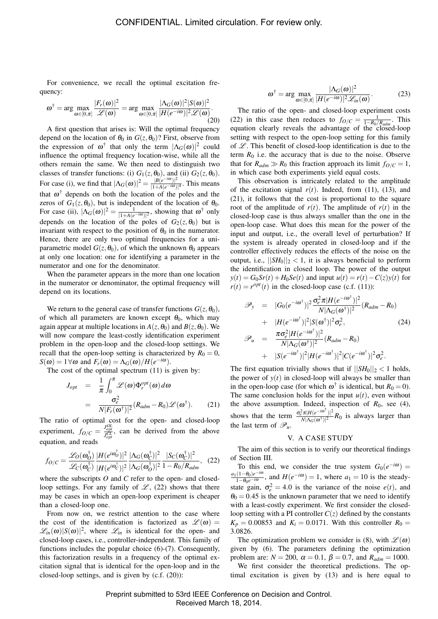For convenience, we recall the optimal excitation frequency:

$$
\boldsymbol{\omega}^{\dagger} = \arg \max_{\boldsymbol{\omega} \in [0,\pi]} \frac{|F_r(\boldsymbol{\omega})|^2}{\mathscr{L}(\boldsymbol{\omega})} = \arg \max_{\boldsymbol{\omega} \in [0,\pi]} \frac{|\Lambda_G(\boldsymbol{\omega})|^2 |S(\boldsymbol{\omega})|^2}{|H(e^{-i\boldsymbol{\omega}})|^2 \mathscr{L}(\boldsymbol{\omega})}.
$$
\n(20)

A first question that arises is: Will the optimal frequency depend on the location of  $\theta_0$  in  $G(z, \theta_0)$ ? First, observe from the expression of  $\omega^{\dagger}$  that only the term  $|\Lambda_G(\omega)|^2$  could influence the optimal frequency location-wise, while all the others remain the same. We then need to distinguish two classes of transfer functions: (i)  $G_1(z, \theta_0)$ , and (ii)  $G_2(z, \theta_0)$ . For case (i), we find that  $|\Lambda_G(\omega)|^2 = \frac{|B(e^{-i\omega})|^2}{1 + A(e^{-i\omega})}$  $\frac{|D(e^{\prime\prime}-1)|}{|1+A(e^{-i\omega})|^4}$ . This means that  $\omega^{\dagger}$  depends on both the location of the poles and the zeros of  $G_1(z, \theta_0)$ , but is independent of the location of  $\theta_0$ . For case (ii),  $|\Lambda_G(\omega)|^2 = \frac{1}{|1+A(e^{-i\omega})|^2}$ , showing that  $\omega^{\dagger}$  only depends on the location of the poles of  $G_2(z, \theta_0)$  but is invariant with respect to the position of  $\theta_0$  in the numerator. Hence, there are only two optimal frequencies for a uniparametric model  $G(z, \theta_0)$ , of which the unknown  $\theta_0$  appears at only one location: one for identifying a parameter in the numerator and one for the denominator.

When the parameter appears in the more than one location in the numerator or denominator, the optimal frequency will depend on its locations.

We return to the general case of transfer functions  $G(z, \theta_0)$ , of which all parameters are known except  $\theta_0$ , which may again appear at multiple locations in  $A(z, \theta_0)$  and  $B(z, \theta_0)$ . We will now compare the least-costly identification experiment problem in the open-loop and the closed-loop settings. We recall that the open-loop setting is characterized by  $R_0 = 0$ , *S*( $\omega$ ) = 1∀ $\omega$  and *F<sub>r</sub>*( $\omega$ ) =  $\Lambda$ <sub>*G*</sub>( $\omega$ )/*H*(*e*<sup>-*i*ω</sup>).

The cost of the optimal spectrum  $(11)$  is given by:

$$
J_{opt} = \frac{1}{\pi} \int_0^{\pi} \mathcal{L}(\omega) \Phi_r^{opt}(\omega) d\omega
$$
  
= 
$$
\frac{\sigma_e^2}{N|F_r(\omega^{\dagger})|^2} (R_{adm} - R_0) \mathcal{L}(\omega^{\dagger}).
$$
 (21)

The ratio of optimal cost for the open- and closed-loop experiment,  $f_{O/C} = \frac{J_{opt}^{OL}}{J_{opt}^{CL}}$ , can be derived from the above equation, and reads

$$
f_{O/C} = \frac{\mathcal{L}_O(\omega_O^{\dagger})}{\mathcal{L}_C(\omega_C^{\dagger})} \frac{|H(e^{i\omega_O^{\dagger}})|^2}{|H(e^{i\omega_C^{\dagger}})|^2} \frac{|\Lambda_G(\omega_C^{\dagger})|^2}{|\Lambda_G(\omega_O^{\dagger})|^2} \frac{|S_C(\omega_C^{\dagger})|^2}{1 - R_0/R_{adm}},
$$
(22)

where the subscripts *O* and *C* refer to the open- and closedloop settings. For any family of  $\mathscr{L}$ , (22) shows that there may be cases in which an open-loop experiment is cheaper than a closed-loop one.

From now on, we restrict attention to the case where the cost of the identification is factorized as  $\mathscr{L}(\omega)$  =  $\mathscr{L}_{in}(\omega)|S(\omega)|^2$ , where  $\mathscr{L}_{in}$  is identical for the open- and closed-loop cases, i.e., controller-independent. This family of functions includes the popular choice (6)-(7). Consequently, this factorization results in a frequency of the optimal excitation signal that is identical for the open-loop and in the closed-loop settings, and is given by (c.f. (20)):

$$
\boldsymbol{\omega}^{\dagger} = \arg \max_{\boldsymbol{\omega} \in [0,\pi]} \frac{|\Lambda_G(\boldsymbol{\omega})|^2}{|H(e^{-i\boldsymbol{\omega}})|^2 \mathcal{L}_{in}(\boldsymbol{\omega})}.
$$
 (23)

The ratio of the open- and closed-loop experiment costs (22) in this case then reduces to  $f_{O/C} = \frac{1}{1 - R_0/R_{adm}}$ . This equation clearly reveals the advantage of the closed-loop setting with respect to the open-loop setting for this family of  $\mathscr L$ . This benefit of closed-loop identification is due to the term  $R_0$  i.e. the accuracy that is due to the noise. Observe that for  $R_{adm} \gg R_0$  this fraction approach its limit  $f_{O/C} = 1$ , in which case both experiments yield equal costs.

This observation is intricately related to the amplitude of the excitation signal  $r(t)$ . Indeed, from (11), (13), and (21), it follows that the cost is proportional to the square root of the amplitude of  $r(t)$ . The amplitude of  $r(t)$  in the closed-loop case is thus always smaller than the one in the open-loop case. What does this mean for the power of the input and output, i.e., the overall level of perturbation? If the system is already operated in closed-loop and if the controller effectively reduces the effects of the noise on the output, i.e.,  $||SH_0||_2 < 1$ , it is always beneficial to perform the identification in closed loop. The power of the output *y*(*t*) = *G*<sub>0</sub>*Sr*(*t*) + *H*<sub>0</sub>*Se*(*t*) and input *u*(*t*) = *r*(*t*) − *C*(*z*)*y*(*t*) for  $r(t) = r^{opt}(t)$  in the closed-loop case (c.f. (11)):

$$
\mathcal{P}_{y} = |G_0(e^{-i\omega^{\dagger}})|^2 \frac{\sigma_e^2 \pi |H(e^{-i\omega^{\dagger}})|^2}{N|\Lambda_G(\omega^{\dagger})|^2} (R_{adm} - R_0)
$$
  
+  $|H(e^{-i\omega^{\dagger}})|^2 |S(\omega^{\dagger})|^2 \sigma_e^2$ , (24)  

$$
\mathcal{P}_{u} = \frac{\pi \sigma_e^2 |H(e^{-i\omega^{\dagger}})|^2}{N|\Lambda_G(\omega^{\dagger})|^2} (R_{adm} - R_0)
$$
  
+  $|S(e^{-i\omega^{\dagger}})|^2 |H(e^{-i\omega^{\dagger}})|^2 |C(e^{-i\omega^{\dagger}})|^2 \sigma_e^2$ .

The first equation trivially shows that if  $||SH_0||_2 < 1$  holds, the power of  $y(t)$  in closed-loop will always be smaller than in the open-loop case (for which  $\omega^{\dagger}$  is identical, but  $R_0 = 0$ ). The same conclusion holds for the input  $u(t)$ , even without the above assumption. Indeed, inspection of  $R_0$ , see (4), shows that the term  $\frac{\sigma_e^2 \pi |H(e^{-i\omega^{\dagger}})|^2}{N |\Lambda_e(\omega^{\dagger})|^2}$  $\frac{N|R(e^{i\theta}-1)|^2}{N|\Lambda_G(\omega^{\dagger})|^2}R_0$  is always larger than the last term of  $\mathscr{P}_u$ .

### V. A CASE STUDY

The aim of this section is to verify our theoretical findings of Section III.

To this end, we consider the true system  $G_0(e^{-i\omega}) =$  $\frac{a_1(1-\theta_0)e^{-i\omega}}{1-\theta_0e^{-i\omega}}$ , and  $H(e^{-i\omega})=1$ , where  $a_1=10$  is the steadystate gain,  $\sigma_e^2 = 4.0$  is the variance of the noise  $e(t)$ , and  $\theta_0 = 0.45$  is the unknown parameter that we need to identify with a least-costly experiment. We first consider the closedloop setting with a PI controller  $C(z)$  defined by the constants  $K_p = 0.00853$  and  $K_i = 0.0171$ . With this controller  $R_0 =$ 3.0826.

The optimization problem we consider is (8), with  $\mathcal{L}(\omega)$ given by (6). The parameters defining the optimization problem are:  $N = 200$ ,  $\alpha = 0.1$ ,  $\beta = 0.7$ , and  $R_{adm} = 1000$ .

We first consider the theoretical predictions. The optimal excitation is given by (13) and is here equal to